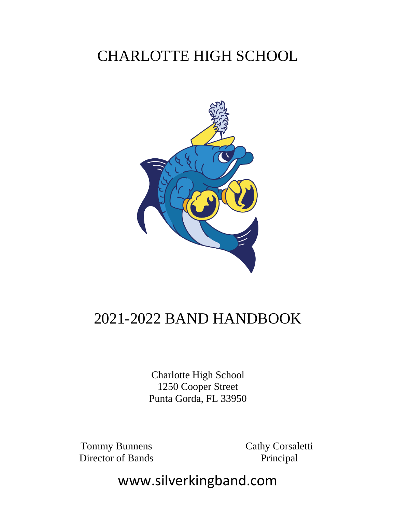## CHARLOTTE HIGH SCHOOL



### 2021-2022 BAND HANDBOOK

Charlotte High School 1250 Cooper Street Punta Gorda, FL 33950

Tommy Bunnens Director of Bands Cathy Corsaletti Principal

www.silverkingband.com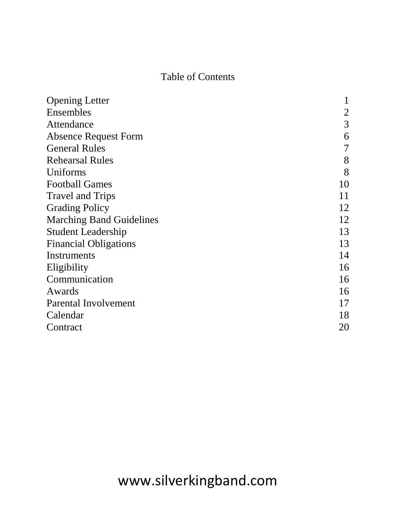### Table of Contents

| <b>Opening Letter</b>           |                |
|---------------------------------|----------------|
| Ensembles                       | $\overline{2}$ |
| Attendance                      | 3              |
| <b>Absence Request Form</b>     | 6              |
| <b>General Rules</b>            | 7              |
| <b>Rehearsal Rules</b>          | 8              |
| Uniforms                        | 8              |
| <b>Football Games</b>           | 10             |
| <b>Travel and Trips</b>         | 11             |
| <b>Grading Policy</b>           | 12             |
| <b>Marching Band Guidelines</b> | 12             |
| <b>Student Leadership</b>       | 13             |
| <b>Financial Obligations</b>    | 13             |
| Instruments                     | 14             |
| Eligibility                     | 16             |
| Communication                   | 16             |
| Awards                          | 16             |
| Parental Involvement            | 17             |
| Calendar                        | 18             |
| Contract                        | 20             |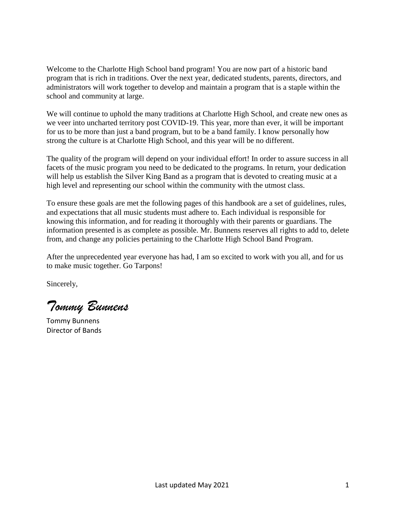Welcome to the Charlotte High School band program! You are now part of a historic band program that is rich in traditions. Over the next year, dedicated students, parents, directors, and administrators will work together to develop and maintain a program that is a staple within the school and community at large.

We will continue to uphold the many traditions at Charlotte High School, and create new ones as we veer into uncharted territory post COVID-19. This year, more than ever, it will be important for us to be more than just a band program, but to be a band family. I know personally how strong the culture is at Charlotte High School, and this year will be no different.

The quality of the program will depend on your individual effort! In order to assure success in all facets of the music program you need to be dedicated to the programs. In return, your dedication will help us establish the Silver King Band as a program that is devoted to creating music at a high level and representing our school within the community with the utmost class.

To ensure these goals are met the following pages of this handbook are a set of guidelines, rules, and expectations that all music students must adhere to. Each individual is responsible for knowing this information, and for reading it thoroughly with their parents or guardians. The information presented is as complete as possible. Mr. Bunnens reserves all rights to add to, delete from, and change any policies pertaining to the Charlotte High School Band Program.

After the unprecedented year everyone has had, I am so excited to work with you all, and for us to make music together. Go Tarpons!

Sincerely,

*Tommy Bunnens*

Tommy Bunnens Director of Bands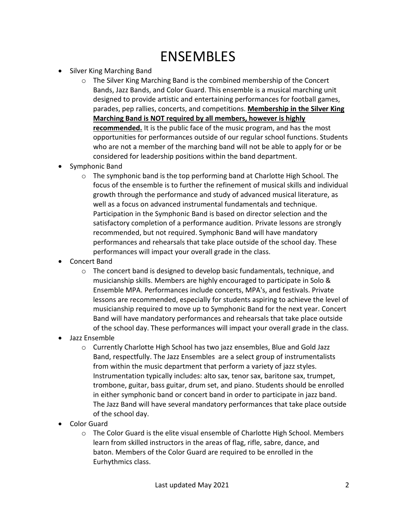### ENSEMBLES

- Silver King Marching Band
	- $\circ$  The Silver King Marching Band is the combined membership of the Concert Bands, Jazz Bands, and Color Guard. This ensemble is a musical marching unit designed to provide artistic and entertaining performances for football games, parades, pep rallies, concerts, and competitions. **Membership in the Silver King Marching Band is NOT required by all members, however is highly recommended.** It is the public face of the music program, and has the most opportunities for performances outside of our regular school functions. Students who are not a member of the marching band will not be able to apply for or be considered for leadership positions within the band department.
- Symphonic Band
	- $\circ$  The symphonic band is the top performing band at Charlotte High School. The focus of the ensemble is to further the refinement of musical skills and individual growth through the performance and study of advanced musical literature, as well as a focus on advanced instrumental fundamentals and technique. Participation in the Symphonic Band is based on director selection and the satisfactory completion of a performance audition. Private lessons are strongly recommended, but not required. Symphonic Band will have mandatory performances and rehearsals that take place outside of the school day. These performances will impact your overall grade in the class.
- Concert Band
	- $\circ$  The concert band is designed to develop basic fundamentals, technique, and musicianship skills. Members are highly encouraged to participate in Solo & Ensemble MPA. Performances include concerts, MPA's, and festivals. Private lessons are recommended, especially for students aspiring to achieve the level of musicianship required to move up to Symphonic Band for the next year. Concert Band will have mandatory performances and rehearsals that take place outside of the school day. These performances will impact your overall grade in the class.
- Jazz Ensemble
	- o Currently Charlotte High School has two jazz ensembles, Blue and Gold Jazz Band, respectfully. The Jazz Ensembles are a select group of instrumentalists from within the music department that perform a variety of jazz styles. Instrumentation typically includes: alto sax, tenor sax, baritone sax, trumpet, trombone, guitar, bass guitar, drum set, and piano. Students should be enrolled in either symphonic band or concert band in order to participate in jazz band. The Jazz Band will have several mandatory performances that take place outside of the school day.
- Color Guard
	- o The Color Guard is the elite visual ensemble of Charlotte High School. Members learn from skilled instructors in the areas of flag, rifle, sabre, dance, and baton. Members of the Color Guard are required to be enrolled in the Eurhythmics class.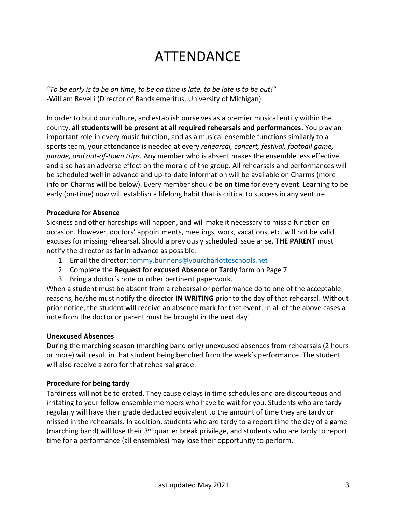### ATTENDANCE

*"To be early is to be on time, to be on time is late, to be late is to be out!"* -William Revelli (Director of Bands emeritus, University of Michigan)

In order to build our culture, and establish ourselves as a premier musical entity within the county, **all students will be present at all required rehearsals and performances.** You play an important role in every music function, and as a musical ensemble functions similarly to a sports team, your attendance is needed at every *rehearsal, concert, festival, football game, parade, and out-of-town trips.* Any member who is absent makes the ensemble less effective and also has an adverse effect on the morale of the group. All rehearsals and performances will be scheduled well in advance and up-to-date information will be available on Charms (more info on Charms will be below). Every member should be **on time** for every event. Learning to be early (on-time) now will establish a lifelong habit that is critical to success in any venture.

#### **Procedure for Absence**

Sickness and other hardships will happen, and will make it necessary to miss a function on occasion. However, doctors' appointments, meetings, work, vacations, etc. will not be valid excuses for missing rehearsal. Should a previously scheduled issue arise, **THE PARENT** must notify the director as far in advance as possible.

- 1. Email the director: [tommy.bunnens@yourcharlotteschools.net](mailto:tommy.bunnens@yourcharlotteschools.net)
- 2. Complete the **Request for excused Absence or Tardy** form on Page 7
- 3. Bring a doctor's note or other pertinent paperwork.

When a student must be absent from a rehearsal or performance do to one of the acceptable reasons, he/she must notify the director **IN WRITING** prior to the day of that rehearsal. Without prior notice, the student will receive an absence mark for that event. In all of the above cases a note from the doctor or parent must be brought in the next day!

#### **Unexcused Absences**

During the marching season (marching band only) unexcused absences from rehearsals (2 hours or more) will result in that student being benched from the week's performance. The student will also receive a zero for that rehearsal grade.

#### **Procedure for being tardy**

Tardiness will not be tolerated. They cause delays in time schedules and are discourteous and irritating to your fellow ensemble members who have to wait for you. Students who are tardy regularly will have their grade deducted equivalent to the amount of time they are tardy or missed in the rehearsals. In addition, students who are tardy to a report time the day of a game (marching band) will lose their 3<sup>rd</sup> quarter break privilege, and students who are tardy to report time for a performance (all ensembles) may lose their opportunity to perform.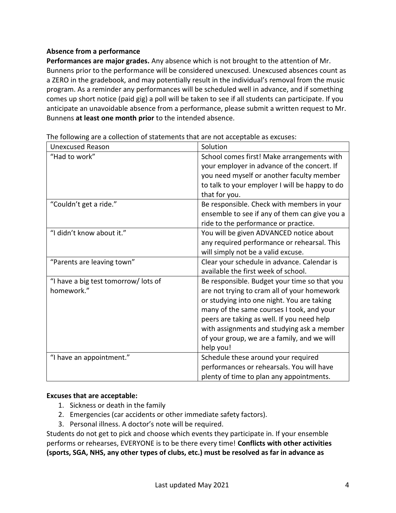#### **Absence from a performance**

**Performances are major grades.** Any absence which is not brought to the attention of Mr. Bunnens prior to the performance will be considered unexcused. Unexcused absences count as a ZERO in the gradebook, and may potentially result in the individual's removal from the music program. As a reminder any performances will be scheduled well in advance, and if something comes up short notice (paid gig) a poll will be taken to see if all students can participate. If you anticipate an unavoidable absence from a performance, please submit a written request to Mr. Bunnens **at least one month prior** to the intended absence.

| <b>Unexcused Reason</b>              | Solution                                       |
|--------------------------------------|------------------------------------------------|
| "Had to work"                        | School comes first! Make arrangements with     |
|                                      | your employer in advance of the concert. If    |
|                                      | you need myself or another faculty member      |
|                                      | to talk to your employer I will be happy to do |
|                                      | that for you.                                  |
| "Couldn't get a ride."               | Be responsible. Check with members in your     |
|                                      | ensemble to see if any of them can give you a  |
|                                      | ride to the performance or practice.           |
| "I didn't know about it."            | You will be given ADVANCED notice about        |
|                                      | any required performance or rehearsal. This    |
|                                      | will simply not be a valid excuse.             |
| "Parents are leaving town"           | Clear your schedule in advance. Calendar is    |
|                                      | available the first week of school.            |
| "I have a big test tomorrow/ lots of | Be responsible. Budget your time so that you   |
| homework."                           | are not trying to cram all of your homework    |
|                                      | or studying into one night. You are taking     |
|                                      | many of the same courses I took, and your      |
|                                      | peers are taking as well. If you need help     |
|                                      | with assignments and studying ask a member     |
|                                      | of your group, we are a family, and we will    |
|                                      | help you!                                      |
| "I have an appointment."             | Schedule these around your required            |
|                                      | performances or rehearsals. You will have      |
|                                      | plenty of time to plan any appointments.       |

The following are a collection of statements that are not acceptable as excuses:

#### **Excuses that are acceptable:**

- 1. Sickness or death in the family
- 2. Emergencies (car accidents or other immediate safety factors).
- 3. Personal illness. A doctor's note will be required.

Students do not get to pick and choose which events they participate in. If your ensemble performs or rehearses, EVERYONE is to be there every time! **Conflicts with other activities (sports, SGA, NHS, any other types of clubs, etc.) must be resolved as far in advance as**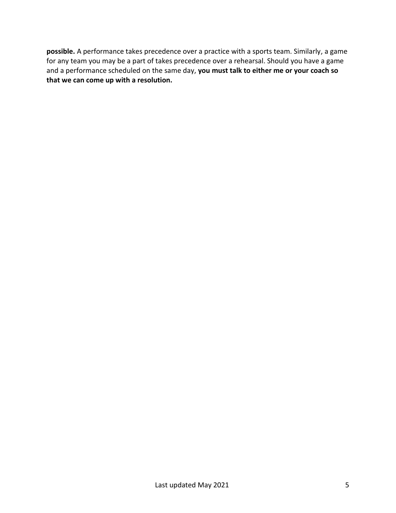**possible.** A performance takes precedence over a practice with a sports team. Similarly, a game for any team you may be a part of takes precedence over a rehearsal. Should you have a game and a performance scheduled on the same day, **you must talk to either me or your coach so that we can come up with a resolution.**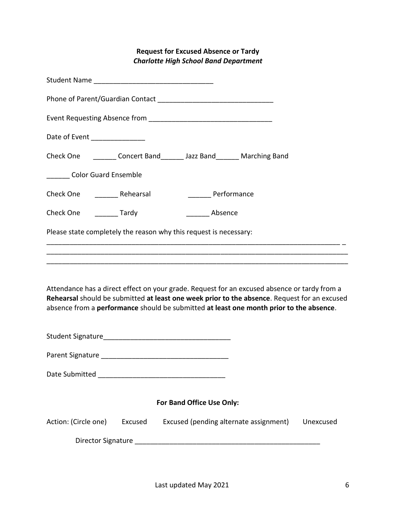#### **Request for Excused Absence or Tardy** *Charlotte High School Band Department*

| Date of Event ________________                                                                                                                                                                                                                                                          |         |                           |             |                                        |           |
|-----------------------------------------------------------------------------------------------------------------------------------------------------------------------------------------------------------------------------------------------------------------------------------------|---------|---------------------------|-------------|----------------------------------------|-----------|
| Check One _________ Concert Band________ Jazz Band_______ Marching Band                                                                                                                                                                                                                 |         |                           |             |                                        |           |
| _______ Color Guard Ensemble                                                                                                                                                                                                                                                            |         |                           |             |                                        |           |
| Check One ____________ Rehearsal                                                                                                                                                                                                                                                        |         |                           | Performance |                                        |           |
| Check One _________ Tardy                                                                                                                                                                                                                                                               |         |                           | Absence     |                                        |           |
| Please state completely the reason why this request is necessary:                                                                                                                                                                                                                       |         |                           |             |                                        |           |
|                                                                                                                                                                                                                                                                                         |         |                           |             |                                        |           |
|                                                                                                                                                                                                                                                                                         |         |                           |             |                                        |           |
| Attendance has a direct effect on your grade. Request for an excused absence or tardy from a<br>Rehearsal should be submitted at least one week prior to the absence. Request for an excused<br>absence from a performance should be submitted at least one month prior to the absence. |         |                           |             |                                        |           |
|                                                                                                                                                                                                                                                                                         |         |                           |             |                                        |           |
|                                                                                                                                                                                                                                                                                         |         |                           |             |                                        |           |
|                                                                                                                                                                                                                                                                                         |         |                           |             |                                        |           |
|                                                                                                                                                                                                                                                                                         |         | For Band Office Use Only: |             |                                        |           |
| Action: (Circle one)                                                                                                                                                                                                                                                                    | Excused |                           |             | Excused (pending alternate assignment) | Unexcused |
|                                                                                                                                                                                                                                                                                         |         |                           |             |                                        |           |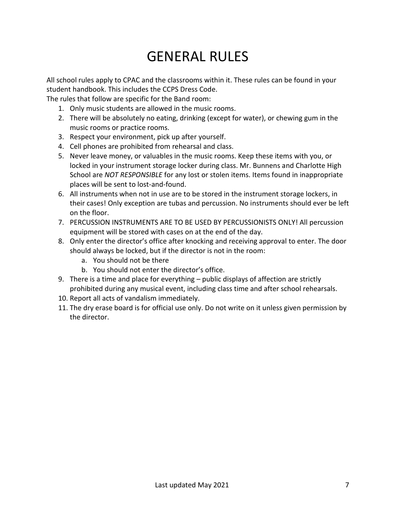### GENERAL RULES

All school rules apply to CPAC and the classrooms within it. These rules can be found in your student handbook. This includes the CCPS Dress Code.

The rules that follow are specific for the Band room:

- 1. Only music students are allowed in the music rooms.
- 2. There will be absolutely no eating, drinking (except for water), or chewing gum in the music rooms or practice rooms.
- 3. Respect your environment, pick up after yourself.
- 4. Cell phones are prohibited from rehearsal and class.
- 5. Never leave money, or valuables in the music rooms. Keep these items with you, or locked in your instrument storage locker during class. Mr. Bunnens and Charlotte High School are *NOT RESPONSIBLE* for any lost or stolen items. Items found in inappropriate places will be sent to lost-and-found.
- 6. All instruments when not in use are to be stored in the instrument storage lockers, in their cases! Only exception are tubas and percussion. No instruments should ever be left on the floor.
- 7. PERCUSSION INSTRUMENTS ARE TO BE USED BY PERCUSSIONISTS ONLY! All percussion equipment will be stored with cases on at the end of the day.
- 8. Only enter the director's office after knocking and receiving approval to enter. The door should always be locked, but if the director is not in the room:
	- a. You should not be there
	- b. You should not enter the director's office.
- 9. There is a time and place for everything public displays of affection are strictly prohibited during any musical event, including class time and after school rehearsals.
- 10. Report all acts of vandalism immediately.
- 11. The dry erase board is for official use only. Do not write on it unless given permission by the director.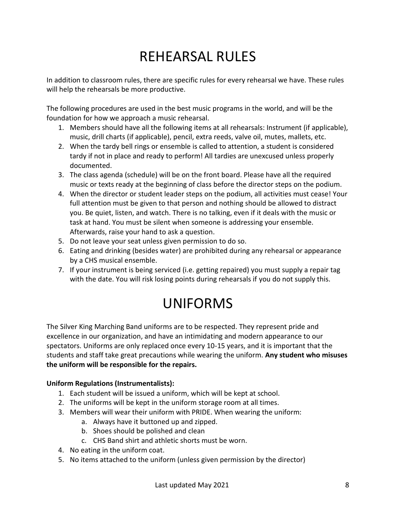# REHEARSAL RULES

In addition to classroom rules, there are specific rules for every rehearsal we have. These rules will help the rehearsals be more productive.

The following procedures are used in the best music programs in the world, and will be the foundation for how we approach a music rehearsal.

- 1. Members should have all the following items at all rehearsals: Instrument (if applicable), music, drill charts (if applicable), pencil, extra reeds, valve oil, mutes, mallets, etc.
- 2. When the tardy bell rings or ensemble is called to attention, a student is considered tardy if not in place and ready to perform! All tardies are unexcused unless properly documented.
- 3. The class agenda (schedule) will be on the front board. Please have all the required music or texts ready at the beginning of class before the director steps on the podium.
- 4. When the director or student leader steps on the podium, all activities must cease! Your full attention must be given to that person and nothing should be allowed to distract you. Be quiet, listen, and watch. There is no talking, even if it deals with the music or task at hand. You must be silent when someone is addressing your ensemble. Afterwards, raise your hand to ask a question.
- 5. Do not leave your seat unless given permission to do so.
- 6. Eating and drinking (besides water) are prohibited during any rehearsal or appearance by a CHS musical ensemble.
- 7. If your instrument is being serviced (i.e. getting repaired) you must supply a repair tag with the date. You will risk losing points during rehearsals if you do not supply this.

### UNIFORMS

The Silver King Marching Band uniforms are to be respected. They represent pride and excellence in our organization, and have an intimidating and modern appearance to our spectators. Uniforms are only replaced once every 10-15 years, and it is important that the students and staff take great precautions while wearing the uniform. **Any student who misuses the uniform will be responsible for the repairs.**

#### **Uniform Regulations (Instrumentalists):**

- 1. Each student will be issued a uniform, which will be kept at school.
- 2. The uniforms will be kept in the uniform storage room at all times.
- 3. Members will wear their uniform with PRIDE. When wearing the uniform:
	- a. Always have it buttoned up and zipped.
	- b. Shoes should be polished and clean
	- c. CHS Band shirt and athletic shorts must be worn.
- 4. No eating in the uniform coat.
- 5. No items attached to the uniform (unless given permission by the director)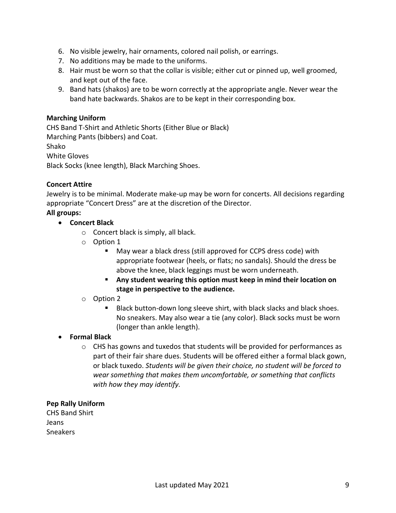- 6. No visible jewelry, hair ornaments, colored nail polish, or earrings.
- 7. No additions may be made to the uniforms.
- 8. Hair must be worn so that the collar is visible; either cut or pinned up, well groomed, and kept out of the face.
- 9. Band hats (shakos) are to be worn correctly at the appropriate angle. Never wear the band hate backwards. Shakos are to be kept in their corresponding box.

#### **Marching Uniform**

CHS Band T-Shirt and Athletic Shorts (Either Blue or Black) Marching Pants (bibbers) and Coat. Shako White Gloves Black Socks (knee length), Black Marching Shoes.

#### **Concert Attire**

Jewelry is to be minimal. Moderate make-up may be worn for concerts. All decisions regarding appropriate "Concert Dress" are at the discretion of the Director.

**All groups:** • **Concert Black**

- o Concert black is simply, all black.
- o Option 1
	- May wear a black dress (still approved for CCPS dress code) with appropriate footwear (heels, or flats; no sandals). Should the dress be above the knee, black leggings must be worn underneath.
	- **Any student wearing this option must keep in mind their location on stage in perspective to the audience.**
- o Option 2
	- Black button-down long sleeve shirt, with black slacks and black shoes. No sneakers. May also wear a tie (any color). Black socks must be worn (longer than ankle length).

#### • **Formal Black**

 $\circ$  CHS has gowns and tuxedos that students will be provided for performances as part of their fair share dues. Students will be offered either a formal black gown, or black tuxedo. *Students will be given their choice, no student will be forced to wear something that makes them uncomfortable, or something that conflicts with how they may identify.*

#### **Pep Rally Uniform**

CHS Band Shirt Jeans Sneakers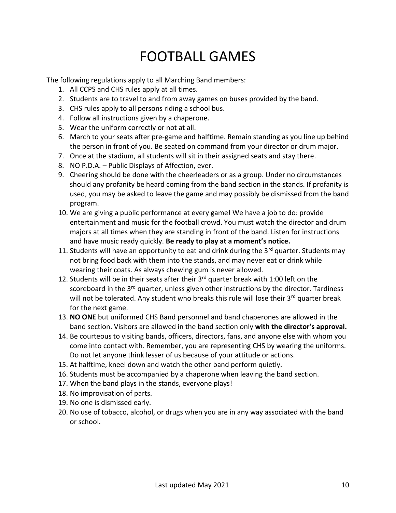## FOOTBALL GAMES

The following regulations apply to all Marching Band members:

- 1. All CCPS and CHS rules apply at all times.
- 2. Students are to travel to and from away games on buses provided by the band.
- 3. CHS rules apply to all persons riding a school bus.
- 4. Follow all instructions given by a chaperone.
- 5. Wear the uniform correctly or not at all.
- 6. March to your seats after pre-game and halftime. Remain standing as you line up behind the person in front of you. Be seated on command from your director or drum major.
- 7. Once at the stadium, all students will sit in their assigned seats and stay there.
- 8. NO P.D.A. Public Displays of Affection, ever.
- 9. Cheering should be done with the cheerleaders or as a group. Under no circumstances should any profanity be heard coming from the band section in the stands. If profanity is used, you may be asked to leave the game and may possibly be dismissed from the band program.
- 10. We are giving a public performance at every game! We have a job to do: provide entertainment and music for the football crowd. You must watch the director and drum majors at all times when they are standing in front of the band. Listen for instructions and have music ready quickly. **Be ready to play at a moment's notice.**
- 11. Students will have an opportunity to eat and drink during the  $3<sup>rd</sup>$  quarter. Students may not bring food back with them into the stands, and may never eat or drink while wearing their coats. As always chewing gum is never allowed.
- 12. Students will be in their seats after their  $3<sup>rd</sup>$  quarter break with 1:00 left on the scoreboard in the 3<sup>rd</sup> quarter, unless given other instructions by the director. Tardiness will not be tolerated. Any student who breaks this rule will lose their 3<sup>rd</sup> quarter break for the next game.
- 13. **NO ONE** but uniformed CHS Band personnel and band chaperones are allowed in the band section. Visitors are allowed in the band section only **with the director's approval.**
- 14. Be courteous to visiting bands, officers, directors, fans, and anyone else with whom you come into contact with. Remember, you are representing CHS by wearing the uniforms. Do not let anyone think lesser of us because of your attitude or actions.
- 15. At halftime, kneel down and watch the other band perform quietly.
- 16. Students must be accompanied by a chaperone when leaving the band section.
- 17. When the band plays in the stands, everyone plays!
- 18. No improvisation of parts.
- 19. No one is dismissed early.
- 20. No use of tobacco, alcohol, or drugs when you are in any way associated with the band or school.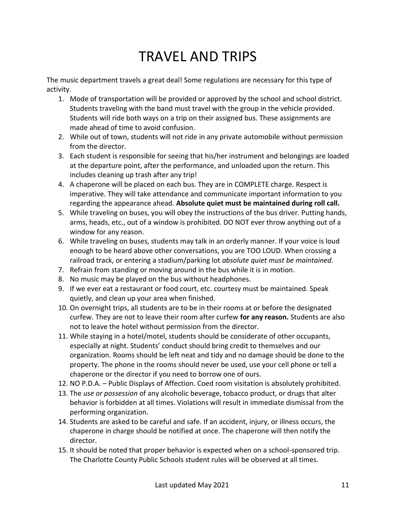## TRAVEL AND TRIPS

The music department travels a great deal! Some regulations are necessary for this type of activity.

- 1. Mode of transportation will be provided or approved by the school and school district. Students traveling with the band must travel with the group in the vehicle provided. Students will ride both ways on a trip on their assigned bus. These assignments are made ahead of time to avoid confusion.
- 2. While out of town, students will not ride in any private automobile without permission from the director.
- 3. Each student is responsible for seeing that his/her instrument and belongings are loaded at the departure point, after the performance, and unloaded upon the return. This includes cleaning up trash after any trip!
- 4. A chaperone will be placed on each bus. They are in COMPLETE charge. Respect is imperative. They will take attendance and communicate important information to you regarding the appearance ahead. **Absolute quiet must be maintained during roll call.**
- 5. While traveling on buses, you will obey the instructions of the bus driver. Putting hands, arms, heads, etc., out of a window is prohibited. DO NOT ever throw anything out of a window for any reason.
- 6. While traveling on buses, students may talk in an orderly manner. If your voice is loud enough to be heard above other conversations, you are TOO LOUD. When crossing a railroad track, or entering a stadium/parking lot *absolute quiet must be maintained.*
- 7. Refrain from standing or moving around in the bus while it is in motion.
- 8. No music may be played on the bus without headphones.
- 9. If we ever eat a restaurant or food court, etc. courtesy must be maintained. Speak quietly, and clean up your area when finished.
- 10. On overnight trips, all students are to be in their rooms at or before the designated curfew. They are not to leave their room after curfew **for any reason.** Students are also not to leave the hotel without permission from the director.
- 11. While staying in a hotel/motel, students should be considerate of other occupants, especially at night. Students' conduct should bring credit to themselves and our organization. Rooms should be left neat and tidy and no damage should be done to the property. The phone in the rooms should never be used, use your cell phone or tell a chaperone or the director if you need to borrow one of ours.
- 12. NO P.D.A. Public Displays of Affection. Coed room visitation is absolutely prohibited.
- 13. The *use or possession* of any alcoholic beverage, tobacco product, or drugs that alter behavior is forbidden at all times. Violations will result in immediate dismissal from the performing organization.
- 14. Students are asked to be careful and safe. If an accident, injury, or illness occurs, the chaperone in charge should be notified at once. The chaperone will then notify the director.
- 15. It should be noted that proper behavior is expected when on a school-sponsored trip. The Charlotte County Public Schools student rules will be observed at all times.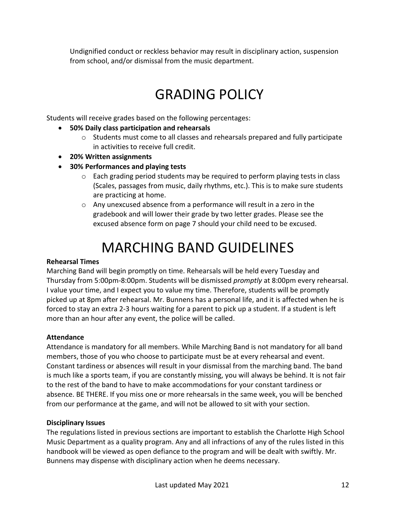Undignified conduct or reckless behavior may result in disciplinary action, suspension from school, and/or dismissal from the music department.

## GRADING POLICY

Students will receive grades based on the following percentages:

- **50% Daily class participation and rehearsals**
	- $\circ$  Students must come to all classes and rehearsals prepared and fully participate in activities to receive full credit.
- **20% Written assignments**
- **30% Performances and playing tests**
	- $\circ$  Each grading period students may be required to perform playing tests in class (Scales, passages from music, daily rhythms, etc.). This is to make sure students are practicing at home.
	- o Any unexcused absence from a performance will result in a zero in the gradebook and will lower their grade by two letter grades. Please see the excused absence form on page 7 should your child need to be excused.

## MARCHING BAND GUIDELINES

#### **Rehearsal Times**

Marching Band will begin promptly on time. Rehearsals will be held every Tuesday and Thursday from 5:00pm-8:00pm. Students will be dismissed *promptly* at 8:00pm every rehearsal. I value your time, and I expect you to value my time. Therefore, students will be promptly picked up at 8pm after rehearsal. Mr. Bunnens has a personal life, and it is affected when he is forced to stay an extra 2-3 hours waiting for a parent to pick up a student. If a student is left more than an hour after any event, the police will be called.

#### **Attendance**

Attendance is mandatory for all members. While Marching Band is not mandatory for all band members, those of you who choose to participate must be at every rehearsal and event. Constant tardiness or absences will result in your dismissal from the marching band. The band is much like a sports team, if you are constantly missing, you will always be behind. It is not fair to the rest of the band to have to make accommodations for your constant tardiness or absence. BE THERE. If you miss one or more rehearsals in the same week, you will be benched from our performance at the game, and will not be allowed to sit with your section.

#### **Disciplinary Issues**

The regulations listed in previous sections are important to establish the Charlotte High School Music Department as a quality program. Any and all infractions of any of the rules listed in this handbook will be viewed as open defiance to the program and will be dealt with swiftly. Mr. Bunnens may dispense with disciplinary action when he deems necessary.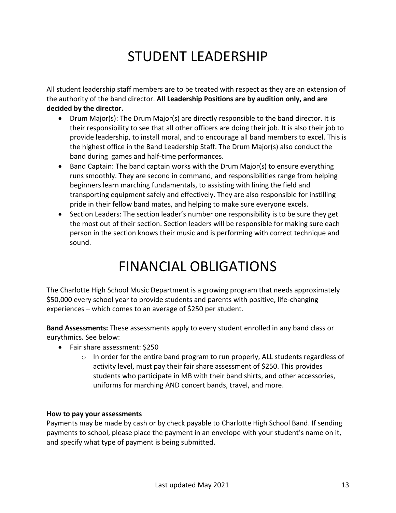### STUDENT LEADERSHIP

All student leadership staff members are to be treated with respect as they are an extension of the authority of the band director. **All Leadership Positions are by audition only, and are decided by the director.**

- Drum Major(s): The Drum Major(s) are directly responsible to the band director. It is their responsibility to see that all other officers are doing their job. It is also their job to provide leadership, to install moral, and to encourage all band members to excel. This is the highest office in the Band Leadership Staff. The Drum Major(s) also conduct the band during games and half-time performances.
- Band Captain: The band captain works with the Drum Major(s) to ensure everything runs smoothly. They are second in command, and responsibilities range from helping beginners learn marching fundamentals, to assisting with lining the field and transporting equipment safely and effectively. They are also responsible for instilling pride in their fellow band mates, and helping to make sure everyone excels.
- Section Leaders: The section leader's number one responsibility is to be sure they get the most out of their section. Section leaders will be responsible for making sure each person in the section knows their music and is performing with correct technique and sound.

### FINANCIAL OBLIGATIONS

The Charlotte High School Music Department is a growing program that needs approximately \$50,000 every school year to provide students and parents with positive, life-changing experiences – which comes to an average of \$250 per student.

**Band Assessments:** These assessments apply to every student enrolled in any band class or eurythmics. See below:

- Fair share assessment: \$250
	- $\circ$  In order for the entire band program to run properly, ALL students regardless of activity level, must pay their fair share assessment of \$250. This provides students who participate in MB with their band shirts, and other accessories, uniforms for marching AND concert bands, travel, and more.

#### **How to pay your assessments**

Payments may be made by cash or by check payable to Charlotte High School Band. If sending payments to school, please place the payment in an envelope with your student's name on it, and specify what type of payment is being submitted.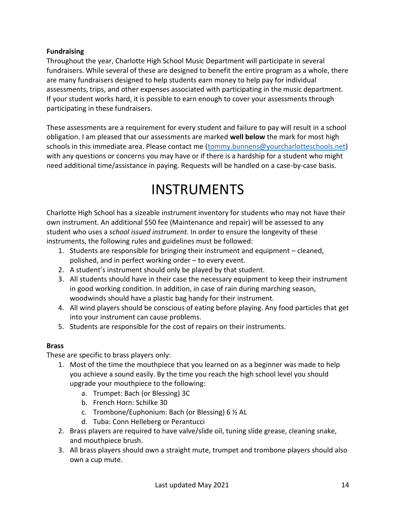#### **Fundraising**

Throughout the year, Charlotte High School Music Department will participate in several fundraisers. While several of these are designed to benefit the entire program as a whole, there are many fundraisers designed to help students earn money to help pay for individual assessments, trips, and other expenses associated with participating in the music department. If your student works hard, it is possible to earn enough to cover your assessments through participating in these fundraisers.

These assessments are a requirement for every student and failure to pay will result in a school obligation. I am pleased that our assessments are marked **well below** the mark for most high schools in this immediate area. Please contact me (tommy.bunnens@yourcharlotteschools.net) with any questions or concerns you may have or if there is a hardship for a student who might need additional time/assistance in paying. Requests will be handled on a case-by-case basis.

### INSTRUMENTS

Charlotte High School has a sizeable instrument inventory for students who may not have their own instrument. An additional \$50 fee (Maintenance and repair) will be assessed to any student who uses a *school issued instrument.* In order to ensure the longevity of these instruments, the following rules and guidelines must be followed:

- 1. Students are responsible for bringing their instrument and equipment cleaned, polished, and in perfect working order – to every event.
- 2. A student's instrument should only be played by that student.
- 3. All students should have in their case the necessary equipment to keep their instrument in good working condition. In addition, in case of rain during marching season, woodwinds should have a plastic bag handy for their instrument.
- 4. All wind players should be conscious of eating before playing. Any food particles that get into your instrument can cause problems.
- 5. Students are responsible for the cost of repairs on their instruments.

#### **Brass**

These are specific to brass players only:

- 1. Most of the time the mouthpiece that you learned on as a beginner was made to help you achieve a sound easily. By the time you reach the high school level you should upgrade your mouthpiece to the following:
	- a. Trumpet: Bach (or Blessing) 3C
	- b. French Horn: Schilke 30
	- c. Trombone/Euphonium: Bach (or Blessing) 6 ½ AL
	- d. Tuba: Conn Helleberg or Perantucci
- 2. Brass players are required to have valve/slide oil, tuning slide grease, cleaning snake, and mouthpiece brush.
- 3. All brass players should own a straight mute, trumpet and trombone players should also own a cup mute.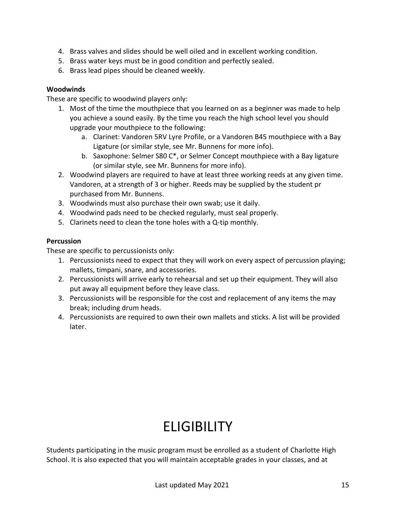- 4. Brass valves and slides should be well oiled and in excellent working condition.
- 5. Brass water keys must be in good condition and perfectly sealed.
- 6. Brass lead pipes should be cleaned weekly.

#### **Woodwinds**

These are specific to woodwind players only:

- 1. Most of the time the mouthpiece that you learned on as a beginner was made to help you achieve a sound easily. By the time you reach the high school level you should upgrade your mouthpiece to the following:
	- a. Clarinet: Vandoren 5RV Lyre Profile, or a Vandoren B45 mouthpiece with a Bay Ligature (or similar style, see Mr. Bunnens for more info).
	- b. Saxophone: Selmer S80 C\*, or Selmer Concept mouthpiece with a Bay ligature (or similar style, see Mr. Bunnens for more info).
- 2. Woodwind players are required to have at least three working reeds at any given time. Vandoren, at a strength of 3 or higher. Reeds may be supplied by the student pr purchased from Mr. Bunnens.
- 3. Woodwinds must also purchase their own swab; use it daily.
- 4. Woodwind pads need to be checked regularly, must seal properly.
- 5. Clarinets need to clean the tone holes with a Q-tip monthly.

#### **Percussion**

These are specific to percussionists only:

- 1. Percussionists need to expect that they will work on every aspect of percussion playing; mallets, timpani, snare, and accessories.
- 2. Percussionists will arrive early to rehearsal and set up their equipment. They will also put away all equipment before they leave class.
- 3. Percussionists will be responsible for the cost and replacement of any items the may break; including drum heads.
- 4. Percussionists are required to own their own mallets and sticks. A list will be provided later.

# **ELIGIBILITY**

Students participating in the music program must be enrolled as a student of Charlotte High School. It is also expected that you will maintain acceptable grades in your classes, and at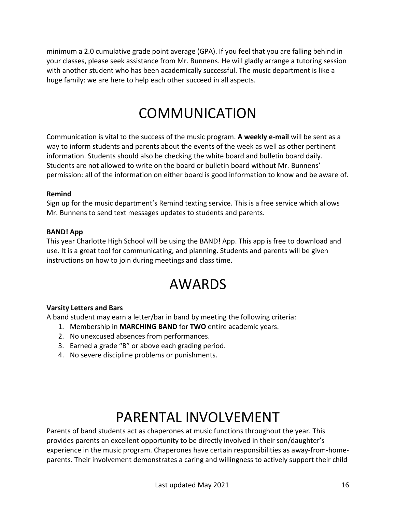minimum a 2.0 cumulative grade point average (GPA). If you feel that you are falling behind in your classes, please seek assistance from Mr. Bunnens. He will gladly arrange a tutoring session with another student who has been academically successful. The music department is like a huge family: we are here to help each other succeed in all aspects.

### COMMUNICATION

Communication is vital to the success of the music program. **A weekly e-mail** will be sent as a way to inform students and parents about the events of the week as well as other pertinent information. Students should also be checking the white board and bulletin board daily. Students are not allowed to write on the board or bulletin board without Mr. Bunnens' permission: all of the information on either board is good information to know and be aware of.

#### **Remind**

Sign up for the music department's Remind texting service. This is a free service which allows Mr. Bunnens to send text messages updates to students and parents.

#### **BAND! App**

This year Charlotte High School will be using the BAND! App. This app is free to download and use. It is a great tool for communicating, and planning. Students and parents will be given instructions on how to join during meetings and class time.

### AWARDS

#### **Varsity Letters and Bars**

A band student may earn a letter/bar in band by meeting the following criteria:

- 1. Membership in **MARCHING BAND** for **TWO** entire academic years.
- 2. No unexcused absences from performances.
- 3. Earned a grade "B" or above each grading period.
- 4. No severe discipline problems or punishments.

### PARENTAL INVOLVEMENT

Parents of band students act as chaperones at music functions throughout the year. This provides parents an excellent opportunity to be directly involved in their son/daughter's experience in the music program. Chaperones have certain responsibilities as away-from-homeparents. Their involvement demonstrates a caring and willingness to actively support their child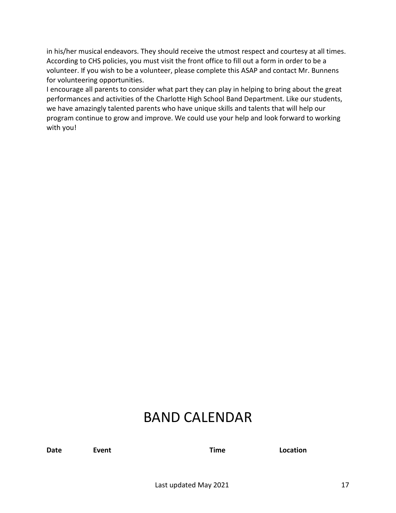in his/her musical endeavors. They should receive the utmost respect and courtesy at all times. According to CHS policies, you must visit the front office to fill out a form in order to be a volunteer. If you wish to be a volunteer, please complete this ASAP and contact Mr. Bunnens for volunteering opportunities.

I encourage all parents to consider what part they can play in helping to bring about the great performances and activities of the Charlotte High School Band Department. Like our students, we have amazingly talented parents who have unique skills and talents that will help our program continue to grow and improve. We could use your help and look forward to working with you!

### BAND CALENDAR

**Date Event Time Location**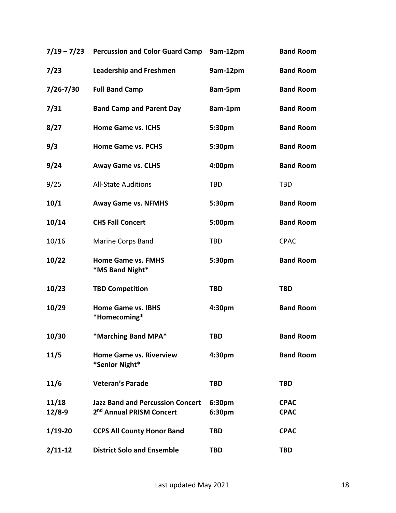|                     | 7/19 - 7/23 Percussion and Color Guard Camp                                     | 9am-12pm         | <b>Band Room</b>           |
|---------------------|---------------------------------------------------------------------------------|------------------|----------------------------|
| 7/23                | <b>Leadership and Freshmen</b>                                                  | 9am-12pm         | <b>Band Room</b>           |
| $7/26 - 7/30$       | <b>Full Band Camp</b>                                                           | 8am-5pm          | <b>Band Room</b>           |
| 7/31                | <b>Band Camp and Parent Day</b>                                                 | 8am-1pm          | <b>Band Room</b>           |
| 8/27                | <b>Home Game vs. ICHS</b>                                                       | 5:30pm           | <b>Band Room</b>           |
| 9/3                 | <b>Home Game vs. PCHS</b>                                                       | 5:30pm           | <b>Band Room</b>           |
| 9/24                | <b>Away Game vs. CLHS</b>                                                       | 4:00pm           | <b>Band Room</b>           |
| 9/25                | <b>All-State Auditions</b>                                                      | <b>TBD</b>       | <b>TBD</b>                 |
| 10/1                | <b>Away Game vs. NFMHS</b>                                                      | 5:30pm           | <b>Band Room</b>           |
| 10/14               | <b>CHS Fall Concert</b>                                                         | 5:00pm           | <b>Band Room</b>           |
| 10/16               | Marine Corps Band                                                               | <b>TBD</b>       | <b>CPAC</b>                |
| 10/22               | <b>Home Game vs. FMHS</b><br>*MS Band Night*                                    | 5:30pm           | <b>Band Room</b>           |
| 10/23               | <b>TBD Competition</b>                                                          | <b>TBD</b>       | <b>TBD</b>                 |
| 10/29               | <b>Home Game vs. IBHS</b><br>*Homecoming*                                       | 4:30pm           | <b>Band Room</b>           |
| 10/30               | *Marching Band MPA*                                                             | <b>TBD</b>       | <b>Band Room</b>           |
| 11/5                | <b>Home Game vs. Riverview</b><br>*Senior Night*                                | 4:30pm           | <b>Band Room</b>           |
| 11/6                | <b>Veteran's Parade</b>                                                         | <b>TBD</b>       | <b>TBD</b>                 |
| 11/18<br>$12/8 - 9$ | <b>Jazz Band and Percussion Concert</b><br>2 <sup>nd</sup> Annual PRISM Concert | 6:30pm<br>6:30pm | <b>CPAC</b><br><b>CPAC</b> |
| $1/19-20$           | <b>CCPS All County Honor Band</b>                                               | <b>TBD</b>       | <b>CPAC</b>                |
| $2/11-12$           | <b>District Solo and Ensemble</b>                                               | <b>TBD</b>       | <b>TBD</b>                 |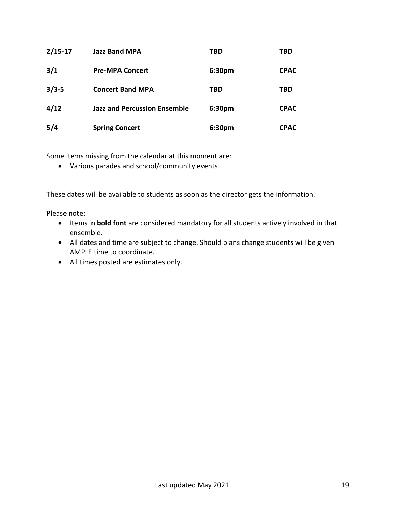| $2/15 - 17$ | <b>Jazz Band MPA</b>                | TBD    | TBD         |
|-------------|-------------------------------------|--------|-------------|
| 3/1         | <b>Pre-MPA Concert</b>              | 6:30pm | <b>CPAC</b> |
| $3/3 - 5$   | <b>Concert Band MPA</b>             | TBD    | TBD         |
| 4/12        | <b>Jazz and Percussion Ensemble</b> | 6:30pm | <b>CPAC</b> |
| 5/4         | <b>Spring Concert</b>               | 6:30pm | <b>CPAC</b> |

Some items missing from the calendar at this moment are:

• Various parades and school/community events

These dates will be available to students as soon as the director gets the information.

Please note:

- Items in **bold font** are considered mandatory for all students actively involved in that ensemble.
- All dates and time are subject to change. Should plans change students will be given AMPLE time to coordinate.
- All times posted are estimates only.